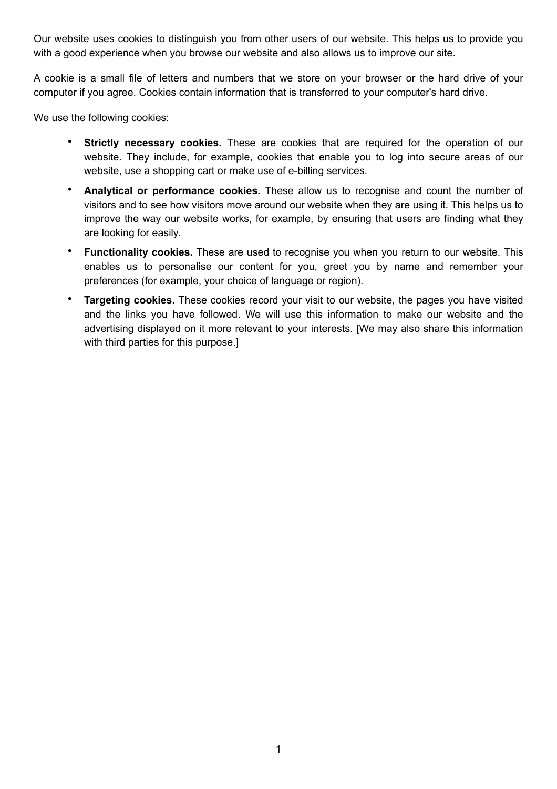Our website uses cookies to distinguish you from other users of our website. This helps us to provide you with a good experience when you browse our website and also allows us to improve our site.

A cookie is a small file of letters and numbers that we store on your browser or the hard drive of your computer if you agree. Cookies contain information that is transferred to your computer's hard drive.

We use the following cookies:

- **Strictly necessary cookies.** These are cookies that are required for the operation of our website. They include, for example, cookies that enable you to log into secure areas of our website, use a shopping cart or make use of e-billing services.
- **Analytical or performance cookies.** These allow us to recognise and count the number of visitors and to see how visitors move around our website when they are using it. This helps us to improve the way our website works, for example, by ensuring that users are finding what they are looking for easily.
- **Functionality cookies.** These are used to recognise you when you return to our website. This enables us to personalise our content for you, greet you by name and remember your preferences (for example, your choice of language or region).
- **Targeting cookies.** These cookies record your visit to our website, the pages you have visited and the links you have followed. We will use this information to make our website and the advertising displayed on it more relevant to your interests. [We may also share this information with third parties for this purpose.]